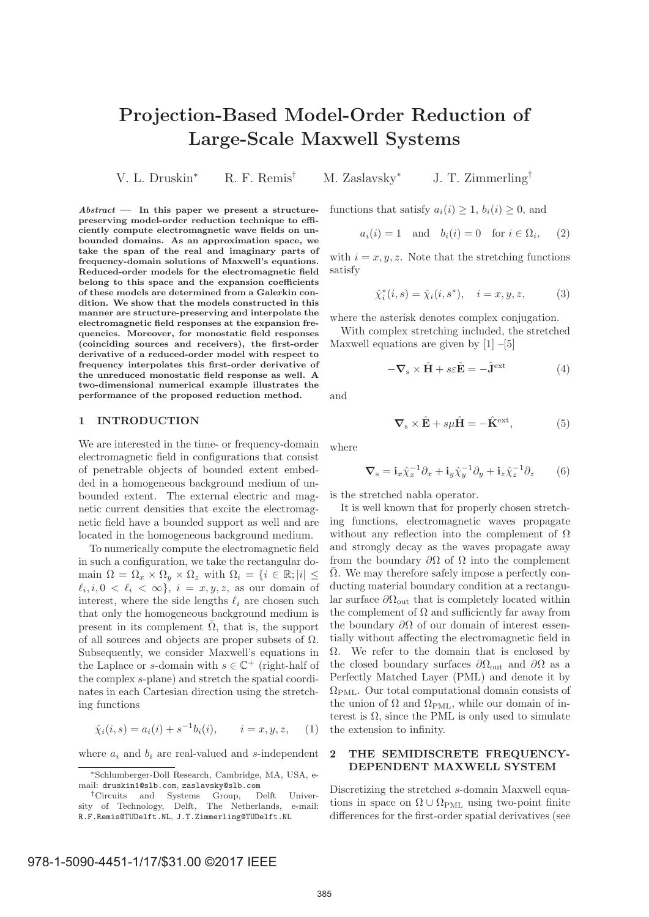# **Projection-Based Model-Order Reduction of Large-Scale Maxwell Systems**

V. L. Druskin<sup>∗</sup> R. F. Remis† M. Zaslavsky<sup>∗</sup> J. T. Zimmerling†

*Abstract* **— In this paper we present a structurepreserving model-order reduction technique to efficiently compute electromagnetic wave fields on unbounded domains. As an approximation space, we take the span of the real and imaginary parts of frequency-domain solutions of Maxwell's equations. Reduced-order models for the electromagnetic field belong to this space and the expansion coefficients of these models are determined from a Galerkin condition. We show that the models constructed in this manner are structure-preserving and interpolate the electromagnetic field responses at the expansion frequencies. Moreover, for monostatic field responses (coinciding sources and receivers), the first-order derivative of a reduced-order model with respect to frequency interpolates this first-order derivative of the unreduced monostatic field response as well. A two-dimensional numerical example illustrates the performance of the proposed reduction method.**

#### **1 INTRODUCTION**

We are interested in the time- or frequency-domain electromagnetic field in configurations that consist of penetrable objects of bounded extent embedded in a homogeneous background medium of unbounded extent. The external electric and magnetic current densities that excite the electromagnetic field have a bounded support as well and are located in the homogeneous background medium.

To numerically compute the electromagnetic field in such a configuration, we take the rectangular domain  $\Omega = \Omega_x \times \Omega_y \times \Omega_z$  with  $\Omega_i = \{i \in \mathbb{R}; |i| \leq$  $\ell_i, i, 0 \leq \ell_i \leq \infty$ ,  $i = x, y, z$ , as our domain of interest, where the side lengths  $\ell_i$  are chosen such that only the homogeneous background medium is present in its complement  $\overline{\Omega}$ , that is, the support of all sources and objects are proper subsets of  $\Omega$ . Subsequently, we consider Maxwell's equations in the Laplace or s-domain with  $s \in \mathbb{C}^+$  (right-half of the complex s-plane) and stretch the spatial coordinates in each Cartesian direction using the stretching functions

$$
\hat{\chi}_i(i,s) = a_i(i) + s^{-1}b_i(i), \qquad i = x, y, z,
$$
 (1)

where  $a_i$  and  $b_i$  are real-valued and s-independent

functions that satisfy  $a_i(i) \geq 1$ ,  $b_i(i) \geq 0$ , and

$$
a_i(i) = 1 \quad \text{and} \quad b_i(i) = 0 \quad \text{for } i \in \Omega_i, \tag{2}
$$

with  $i = x, y, z$ . Note that the stretching functions satisfy

$$
\hat{\chi}_i^*(i, s) = \hat{\chi}_i(i, s^*), \quad i = x, y, z,
$$
 (3)

where the asterisk denotes complex conjugation.

With complex stretching included, the stretched Maxwell equations are given by  $[1]$  –[5]

$$
-\nabla_{\mathbf{s}} \times \hat{\mathbf{H}} + s\varepsilon \hat{\mathbf{E}} = -\hat{\mathbf{J}}^{\text{ext}} \tag{4}
$$

and

$$
\nabla_{\mathbf{s}} \times \hat{\mathbf{E}} + s\mu \hat{\mathbf{H}} = -\hat{\mathbf{K}}^{\text{ext}},\tag{5}
$$

where

$$
\nabla_{\mathbf{s}} = \mathbf{i}_x \hat{\chi}_x^{-1} \partial_x + \mathbf{i}_y \hat{\chi}_y^{-1} \partial_y + \mathbf{i}_z \hat{\chi}_z^{-1} \partial_z \qquad (6)
$$

is the stretched nabla operator.

It is well known that for properly chosen stretching functions, electromagnetic waves propagate without any reflection into the complement of  $\Omega$ and strongly decay as the waves propagate away from the boundary  $\partial\Omega$  of  $\Omega$  into the complement  $\Omega$ . We may therefore safely impose a perfectly conducting material boundary condition at a rectangular surface  $\partial\Omega_{\text{out}}$  that is completely located within the complement of  $\Omega$  and sufficiently far away from the boundary  $\partial\Omega$  of our domain of interest essentially without affecting the electromagnetic field in  $\Omega$ . We refer to the domain that is enclosed by the closed boundary surfaces  $\partial\Omega_{\text{out}}$  and  $\partial\Omega$  as a Perfectly Matched Layer (PML) and denote it by  $\Omega_{\text{PML}}$ . Our total computational domain consists of the union of  $\Omega$  and  $\Omega_{\rm PML}$ , while our domain of interest is  $\Omega$ , since the PML is only used to simulate the extension to infinity.

## **2 THE SEMIDISCRETE FREQUENCY-DEPENDENT MAXWELL SYSTEM**

Discretizing the stretched s-domain Maxwell equations in space on  $\Omega \cup \Omega_{\text{PML}}$  using two-point finite differences for the first-order spatial derivatives (see

<sup>∗</sup>Schlumberger-Doll Research, Cambridge, MA, USA, email: druskin1@slb.com, zaslavsky@slb.com

<sup>†</sup>Circuits and Systems Group, Delft University of Technology, Delft, The Netherlands, e-mail: R.F.Remis@TUDelft.NL, J.T.Zimmerling@TUDelft.NL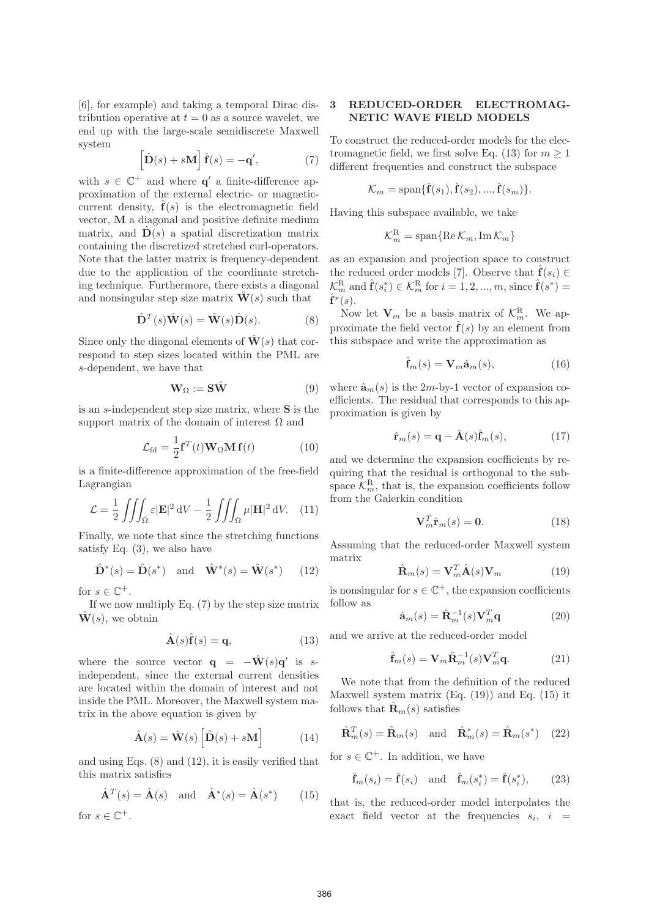[6], for example) and taking a temporal Dirac distribution operative at  $t = 0$  as a source wavelet, we end up with the large-scale semidiscrete Maxwell system

$$
\left[\hat{\mathbf{D}}(s) + s\mathbf{M}\right]\hat{\mathbf{f}}(s) = -\mathbf{q}',\tag{7}
$$

with  $s \in \mathbb{C}^+$  and where **q'** a finite-difference approximation of the external electric- or magneticcurrent density,  $\hat{\mathbf{f}}(s)$  is the electromagnetic field vector, **M** a diagonal and positive definite medium matrix, and  $\hat{\mathbf{D}}(s)$  a spatial discretization matrix containing the discretized stretched curl-operators. Note that the latter matrix is frequency-dependent due to the application of the coordinate stretching technique. Furthermore, there exists a diagonal and nonsingular step size matrix  $\mathbf{W}(s)$  such that

$$
\hat{\mathbf{D}}^{T}(s)\hat{\mathbf{W}}(s) = \hat{\mathbf{W}}(s)\hat{\mathbf{D}}(s).
$$
 (8)

Since only the diagonal elements of  $\hat{\mathbf{W}}(s)$  that correspond to step sizes located within the PML are s-dependent, we have that

$$
\mathbf{W}_{\Omega} := \mathbf{S}\hat{\mathbf{W}} \tag{9}
$$

is an s-independent step size matrix, where **S** is the support matrix of the domain of interest  $\Omega$  and

$$
\mathcal{L}_{\text{fd}} = \frac{1}{2} \mathbf{f}^T(t) \mathbf{W}_{\Omega} \mathbf{M} \mathbf{f}(t) \tag{10}
$$

is a finite-difference approximation of the free-field Lagrangian

$$
\mathcal{L} = \frac{1}{2} \iiint_{\Omega} \varepsilon |\mathbf{E}|^2 \, \mathrm{d}V - \frac{1}{2} \iiint_{\Omega} \mu |\mathbf{H}|^2 \, \mathrm{d}V. \tag{11}
$$

Finally, we note that since the stretching functions satisfy Eq. (3), we also have

$$
\hat{\mathbf{D}}^*(s) = \hat{\mathbf{D}}(s^*) \quad \text{and} \quad \hat{\mathbf{W}}^*(s) = \hat{\mathbf{W}}(s^*) \qquad (12)
$$

for  $s \in \mathbb{C}^+$ .

If we now multiply Eq. (7) by the step size matrix  $\mathbf{W}(s)$ , we obtain

$$
\hat{\mathbf{A}}(s)\hat{\mathbf{f}}(s) = \mathbf{q},\tag{13}
$$

where the source vector  $q = -\hat{W}(s)q'$  is sindependent, since the external current densities are located within the domain of interest and not inside the PML. Moreover, the Maxwell system matrix in the above equation is given by

$$
\hat{\mathbf{A}}(s) = \hat{\mathbf{W}}(s) \left[ \hat{\mathbf{D}}(s) + s\mathbf{M} \right]
$$
 (14)

and using Eqs. (8) and (12), it is easily verified that this matrix satisfies

$$
\hat{\mathbf{A}}^T(s) = \hat{\mathbf{A}}(s) \quad \text{and} \quad \hat{\mathbf{A}}^*(s) = \hat{\mathbf{A}}(s^*) \tag{15}
$$

for  $s \in \mathbb{C}^+$ .

## **3 REDUCED-ORDER ELECTROMAG-NETIC WAVE FIELD MODELS**

To construct the reduced-order models for the electromagnetic field, we first solve Eq. (13) for  $m \ge 1$ different frequenties and construct the subspace

$$
\mathcal{K}_m = \text{span}\{\hat{\mathbf{f}}(s_1), \hat{\mathbf{f}}(s_2), ..., \hat{\mathbf{f}}(s_m)\}.
$$

Having this subspace available, we take

$$
\mathcal{K}^{\rm R}_m=\text{span}\{\text{Re}\,\mathcal{K}_m,\text{Im}\,\mathcal{K}_m\}
$$

as an expansion and projection space to construct the reduced order models [7]. Observe that  $\hat{\mathbf{f}}(s_i) \in$  $\mathcal{K}_m^{\rm R}$  and  $\hat{\mathbf{f}}(s_i^*) \in \mathcal{K}_m^{\rm R}$  for  $i = 1, 2, ..., m$ , since  $\hat{\mathbf{f}}(s^*) =$  $\hat{\mathbf{f}}^*(s)$ .

Now let  $V_m$  be a basis matrix of  $\mathcal{K}_m^R$ . We approximate the field vector  $\hat{\mathbf{f}}(s)$  by an element from this subspace and write the approximation as

$$
\hat{\mathbf{f}}_m(s) = \mathbf{V}_m \hat{\mathbf{a}}_m(s),\tag{16}
$$

where  $\hat{\mathbf{a}}_m(s)$  is the 2*m*-by-1 vector of expansion coefficients. The residual that corresponds to this approximation is given by

$$
\hat{\mathbf{r}}_m(s) = \mathbf{q} - \hat{\mathbf{A}}(s)\hat{\mathbf{f}}_m(s),\tag{17}
$$

and we determine the expansion coefficients by requiring that the residual is orthogonal to the subspace  $\mathcal{K}_m^{\rm R}$ , that is, the expansion coefficients follow from the Galerkin condition

$$
\mathbf{V}_m^T \hat{\mathbf{r}}_m(s) = \mathbf{0}.\tag{18}
$$

Assuming that the reduced-order Maxwell system matrix

$$
\hat{\mathbf{R}}_m(s) = \mathbf{V}_m^T \hat{\mathbf{A}}(s) \mathbf{V}_m \tag{19}
$$

is nonsingular for  $s \in \mathbb{C}^+$ , the expansion coefficients follow as

$$
\hat{\mathbf{a}}_m(s) = \hat{\mathbf{R}}_m^{-1}(s) \mathbf{V}_m^T \mathbf{q}
$$
 (20)

and we arrive at the reduced-order model

$$
\hat{\mathbf{f}}_{m}(s) = \mathbf{V}_{m} \hat{\mathbf{R}}_{m}^{-1}(s) \mathbf{V}_{m}^{T} \mathbf{q}.
$$
 (21)

We note that from the definition of the reduced Maxwell system matrix  $(Eq. (19))$  and Eq.  $(15)$  it follows that  $\mathbf{R}_m(s)$  satisfies

$$
\hat{\mathbf{R}}_m^T(s) = \hat{\mathbf{R}}_m(s) \quad \text{and} \quad \hat{\mathbf{R}}_m^*(s) = \hat{\mathbf{R}}_m(s^*) \quad (22)
$$

for  $s \in \mathbb{C}^+$ . In addition, we have

$$
\hat{\mathbf{f}}_m(s_i) = \hat{\mathbf{f}}(s_i) \quad \text{and} \quad \hat{\mathbf{f}}_m(s_i^*) = \hat{\mathbf{f}}(s_i^*), \qquad (23)
$$

that is, the reduced-order model interpolates the exact field vector at the frequencies  $s_i$ ,  $i =$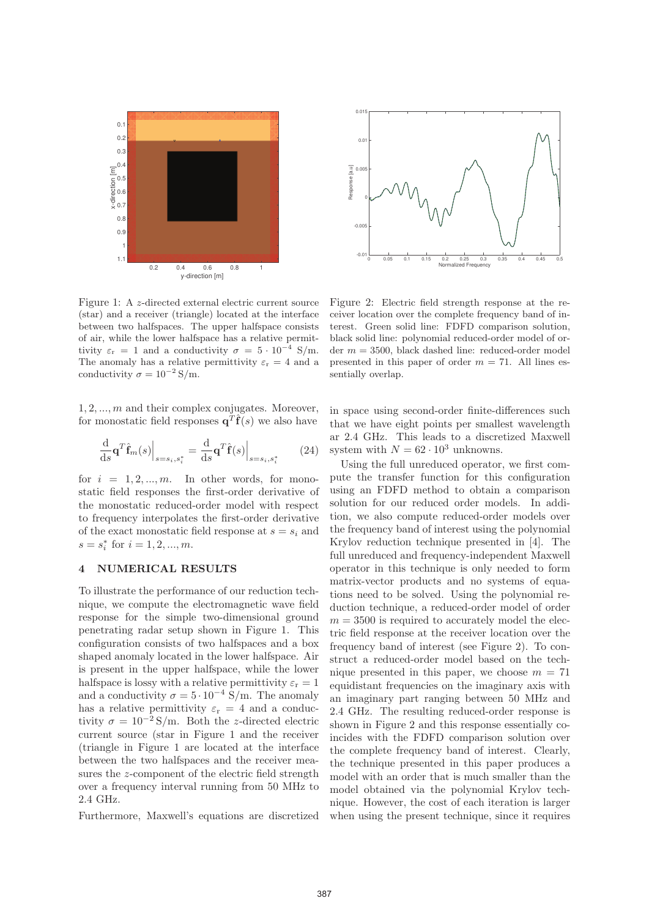

0 0.05 0.1 0.15 0.2 0.25 0.3 0.35 0.4 0.45 0.5 Normalized Frequency  $-0.0$ -0.005  $\mathsf{C}$ Response [a.u]<br>0<br>0  $0.0$ 0.015 Response [a.u]

Figure 1: A z-directed external electric current source (star) and a receiver (triangle) located at the interface between two halfspaces. The upper halfspace consists of air, while the lower halfspace has a relative permittivity  $\varepsilon_r = 1$  and a conductivity  $\sigma = 5 \cdot 10^{-4}$  S/m. The anomaly has a relative permittivity  $\varepsilon_{\rm r} = 4$  and a conductivity  $\sigma = 10^{-2} \text{ S/m}.$ 

1, 2, ..., m and their complex conjugates. Moreover, for monostatic field responses  $\mathbf{q}^T \hat{\mathbf{f}}(s)$  we also have

$$
\frac{\mathrm{d}}{\mathrm{d}s} \mathbf{q}^T \hat{\mathbf{f}}_m(s) \Big|_{s=s_i, s_i^*} = \frac{\mathrm{d}}{\mathrm{d}s} \mathbf{q}^T \hat{\mathbf{f}}(s) \Big|_{s=s_i, s_i^*}
$$
(24)

for  $i = 1, 2, ..., m$ . In other words, for monostatic field responses the first-order derivative of the monostatic reduced-order model with respect to frequency interpolates the first-order derivative of the exact monostatic field response at  $s = s_i$  and  $s = s_i^*$  for  $i = 1, 2, ..., m$ .

### **4 NUMERICAL RESULTS**

To illustrate the performance of our reduction technique, we compute the electromagnetic wave field response for the simple two-dimensional ground penetrating radar setup shown in Figure 1. This configuration consists of two halfspaces and a box shaped anomaly located in the lower halfspace. Air is present in the upper halfspace, while the lower halfspace is lossy with a relative permittivity  $\varepsilon_r = 1$ and a conductivity  $\sigma = 5 \cdot 10^{-4}$  S/m. The anomaly has a relative permittivity  $\varepsilon_{\rm r} = 4$  and a conductivity  $\sigma = 10^{-2}$  S/m. Both the z-directed electric current source (star in Figure 1 and the receiver (triangle in Figure 1 are located at the interface between the two halfspaces and the receiver measures the z-component of the electric field strength over a frequency interval running from 50 MHz to 2.4 GHz.

Furthermore, Maxwell's equations are discretized

Figure 2: Electric field strength response at the receiver location over the complete frequency band of interest. Green solid line: FDFD comparison solution, black solid line: polynomial reduced-order model of order  $m = 3500$ , black dashed line: reduced-order model presented in this paper of order  $m = 71$ . All lines essentially overlap.

in space using second-order finite-differences such that we have eight points per smallest wavelength ar 2.4 GHz. This leads to a discretized Maxwell system with  $N = 62 \cdot 10^3$  unknowns.

Using the full unreduced operator, we first compute the transfer function for this configuration using an FDFD method to obtain a comparison solution for our reduced order models. In addition, we also compute reduced-order models over the frequency band of interest using the polynomial Krylov reduction technique presented in [4]. The full unreduced and frequency-independent Maxwell operator in this technique is only needed to form matrix-vector products and no systems of equations need to be solved. Using the polynomial reduction technique, a reduced-order model of order  $m = 3500$  is required to accurately model the electric field response at the receiver location over the frequency band of interest (see Figure 2). To construct a reduced-order model based on the technique presented in this paper, we choose  $m = 71$ equidistant frequencies on the imaginary axis with an imaginary part ranging between 50 MHz and 2.4 GHz. The resulting reduced-order response is shown in Figure 2 and this response essentially coincides with the FDFD comparison solution over the complete frequency band of interest. Clearly, the technique presented in this paper produces a model with an order that is much smaller than the model obtained via the polynomial Krylov technique. However, the cost of each iteration is larger when using the present technique, since it requires